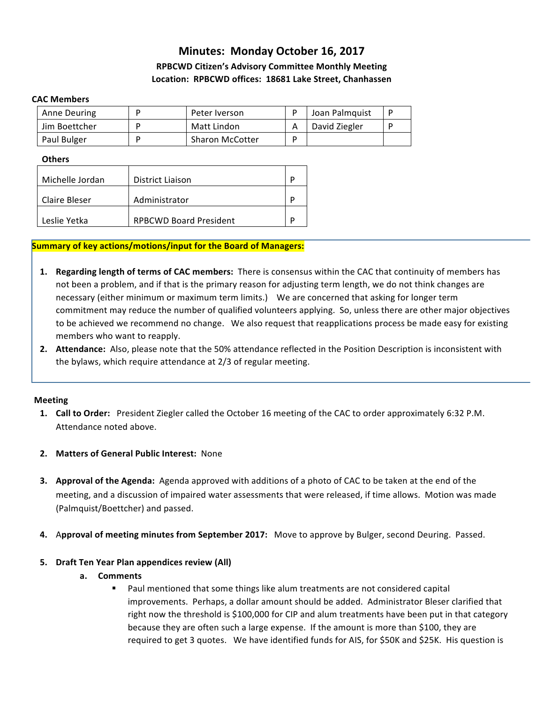# **Minutes: Monday October 16, 2017 RPBCWD Citizen's Advisory Committee Monthly Meeting Location: RPBCWD offices: 18681 Lake Street, Chanhassen**

#### **CAC Members**

| Anne Deuring  | Peter Iverson          | Joan Palmquist |  |
|---------------|------------------------|----------------|--|
| Jim Boettcher | Matt Lindon            | David Ziegler  |  |
| Paul Bulger   | <b>Sharon McCotter</b> |                |  |

#### **Others**

| Michelle Jordan | District Liaison              |  |
|-----------------|-------------------------------|--|
| Claire Bleser   | Administrator                 |  |
| Leslie Yetka    | <b>RPBCWD Board President</b> |  |

#### **Summary of key actions/motions/input for the Board of Managers:**

- **1. Regarding length of terms of CAC members:** There is consensus within the CAC that continuity of members has not been a problem, and if that is the primary reason for adjusting term length, we do not think changes are necessary (either minimum or maximum term limits.) We are concerned that asking for longer term commitment may reduce the number of qualified volunteers applying. So, unless there are other major objectives to be achieved we recommend no change. We also request that reapplications process be made easy for existing members who want to reapply.
- **2.** Attendance: Also, please note that the 50% attendance reflected in the Position Description is inconsistent with the bylaws, which require attendance at 2/3 of regular meeting.

#### **Meeting**

- **1. Call to Order:** President Ziegler called the October 16 meeting of the CAC to order approximately 6:32 P.M. Attendance noted above.
- **2.** Matters of General Public Interest: None
- **3. Approval of the Agenda:** Agenda approved with additions of a photo of CAC to be taken at the end of the meeting, and a discussion of impaired water assessments that were released, if time allows. Motion was made (Palmquist/Boettcher) and passed.
- **4.** Approval of meeting minutes from September 2017: Move to approve by Bulger, second Deuring. Passed.

### **5. Draft Ten Year Plan appendices review (All)**

- **a. Comments**
	- Paul mentioned that some things like alum treatments are not considered capital improvements. Perhaps, a dollar amount should be added. Administrator Bleser clarified that right now the threshold is \$100,000 for CIP and alum treatments have been put in that category because they are often such a large expense. If the amount is more than \$100, they are required to get 3 quotes. We have identified funds for AIS, for \$50K and \$25K. His question is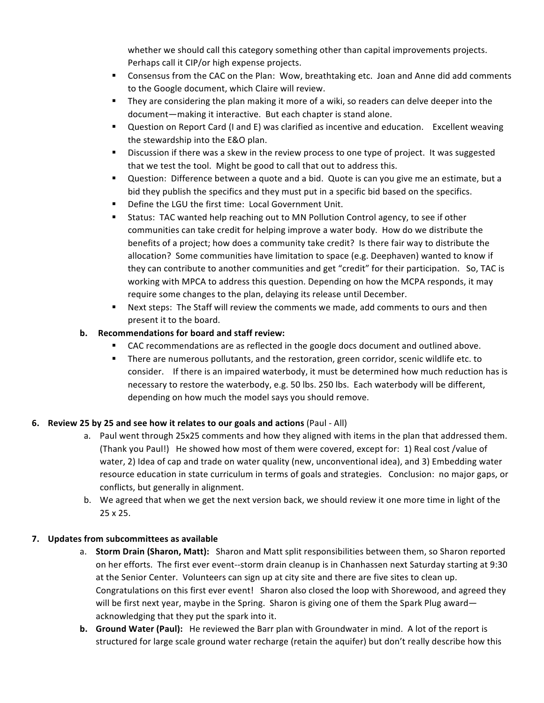whether we should call this category something other than capital improvements projects. Perhaps call it CIP/or high expense projects.

- Consensus from the CAC on the Plan: Wow, breathtaking etc. Joan and Anne did add comments to the Google document, which Claire will review.
- They are considering the plan making it more of a wiki, so readers can delve deeper into the document—making it interactive. But each chapter is stand alone.
- Question on Report Card (I and E) was clarified as incentive and education. Excellent weaving the stewardship into the E&O plan.
- Discussion if there was a skew in the review process to one type of project. It was suggested that we test the tool. Might be good to call that out to address this.
- Question: Difference between a quote and a bid. Quote is can you give me an estimate, but a bid they publish the specifics and they must put in a specific bid based on the specifics.
- Define the LGU the first time: Local Government Unit.
- Status: TAC wanted help reaching out to MN Pollution Control agency, to see if other communities can take credit for helping improve a water body. How do we distribute the benefits of a project; how does a community take credit? Is there fair way to distribute the allocation? Some communities have limitation to space (e.g. Deephaven) wanted to know if they can contribute to another communities and get "credit" for their participation. So, TAC is working with MPCA to address this question. Depending on how the MCPA responds, it may require some changes to the plan, delaying its release until December.
- Next steps: The Staff will review the comments we made, add comments to ours and then present it to the board.

# **b.** Recommendations for board and staff review:

- CAC recommendations are as reflected in the google docs document and outlined above.
- **•** There are numerous pollutants, and the restoration, green corridor, scenic wildlife etc. to consider. If there is an impaired waterbody, it must be determined how much reduction has is necessary to restore the waterbody, e.g. 50 lbs. 250 lbs. Each waterbody will be different, depending on how much the model says you should remove.

# **6.** Review 25 by 25 and see how it relates to our goals and actions (Paul - All)

- a. Paul went through 25x25 comments and how they aligned with items in the plan that addressed them. (Thank you Paul!) He showed how most of them were covered, except for: 1) Real cost /value of water, 2) Idea of cap and trade on water quality (new, unconventional idea), and 3) Embedding water resource education in state curriculum in terms of goals and strategies. Conclusion: no major gaps, or conflicts, but generally in alignment.
- b. We agreed that when we get the next version back, we should review it one more time in light of the 25 x 25.

# **7.** Updates from subcommittees as available

- a. **Storm Drain (Sharon, Matt):** Sharon and Matt split responsibilities between them, so Sharon reported on her efforts. The first ever event--storm drain cleanup is in Chanhassen next Saturday starting at 9:30 at the Senior Center. Volunteers can sign up at city site and there are five sites to clean up. Congratulations on this first ever event! Sharon also closed the loop with Shorewood, and agreed they will be first next year, maybe in the Spring. Sharon is giving one of them the Spark Plug award acknowledging that they put the spark into it.
- **b.** Ground Water (Paul): He reviewed the Barr plan with Groundwater in mind. A lot of the report is structured for large scale ground water recharge (retain the aquifer) but don't really describe how this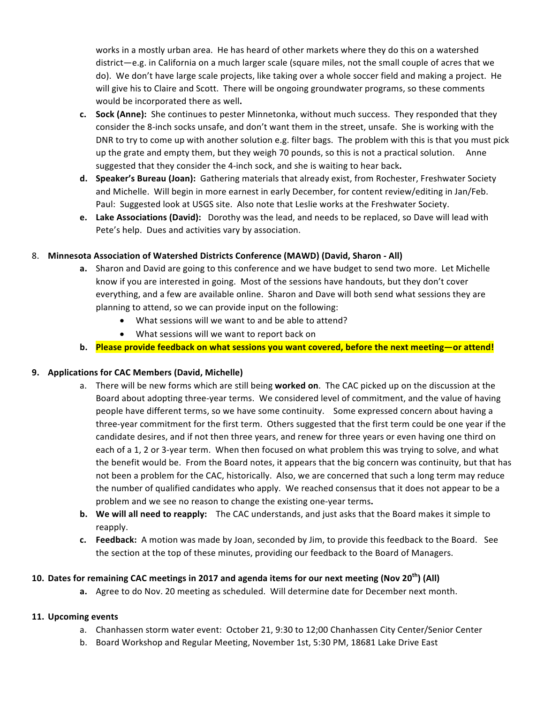works in a mostly urban area. He has heard of other markets where they do this on a watershed district—e.g. in California on a much larger scale (square miles, not the small couple of acres that we do). We don't have large scale projects, like taking over a whole soccer field and making a project. He will give his to Claire and Scott. There will be ongoing groundwater programs, so these comments would be incorporated there as well.

- **c. Sock (Anne):** She continues to pester Minnetonka, without much success. They responded that they consider the 8-inch socks unsafe, and don't want them in the street, unsafe. She is working with the DNR to try to come up with another solution e.g. filter bags. The problem with this is that you must pick up the grate and empty them, but they weigh 70 pounds, so this is not a practical solution. Anne suggested that they consider the 4-inch sock, and she is waiting to hear back.
- **d. Speaker's Bureau (Joan):** Gathering materials that already exist, from Rochester, Freshwater Society and Michelle. Will begin in more earnest in early December, for content review/editing in Jan/Feb. Paul: Suggested look at USGS site. Also note that Leslie works at the Freshwater Society.
- **e.** Lake Associations (David): Dorothy was the lead, and needs to be replaced, so Dave will lead with Pete's help. Dues and activities vary by association.

# 8. **Minnesota Association of Watershed Districts Conference (MAWD) (David, Sharon - All)**

- **a.** Sharon and David are going to this conference and we have budget to send two more. Let Michelle know if you are interested in going. Most of the sessions have handouts, but they don't cover everything, and a few are available online. Sharon and Dave will both send what sessions they are planning to attend, so we can provide input on the following:
	- What sessions will we want to and be able to attend?
	- What sessions will we want to report back on
- b. Please provide feedback on what sessions you want covered, before the next meeting—or attend!

# **9.** Applications for CAC Members (David, Michelle)

- a. There will be new forms which are still being worked on. The CAC picked up on the discussion at the Board about adopting three-year terms. We considered level of commitment, and the value of having people have different terms, so we have some continuity. Some expressed concern about having a three-year commitment for the first term. Others suggested that the first term could be one year if the candidate desires, and if not then three years, and renew for three years or even having one third on each of a 1, 2 or 3-year term. When then focused on what problem this was trying to solve, and what the benefit would be. From the Board notes, it appears that the big concern was continuity, but that has not been a problem for the CAC, historically. Also, we are concerned that such a long term may reduce the number of qualified candidates who apply. We reached consensus that it does not appear to be a problem and we see no reason to change the existing one-year terms.
- **b.** We will all need to reapply: The CAC understands, and just asks that the Board makes it simple to reapply.
- **c. Feedback:** A motion was made by Joan, seconded by Jim, to provide this feedback to the Board. See the section at the top of these minutes, providing our feedback to the Board of Managers.

### **10.** Dates for remaining CAC meetings in 2017 and agenda items for our next meeting (Nov 20<sup>th</sup>) (All)

**a.** Agree to do Nov. 20 meeting as scheduled. Will determine date for December next month.

### **11. Upcoming events**

- a. Chanhassen storm water event: October 21, 9:30 to 12;00 Chanhassen City Center/Senior Center
- b. Board Workshop and Regular Meeting, November 1st, 5:30 PM, 18681 Lake Drive East